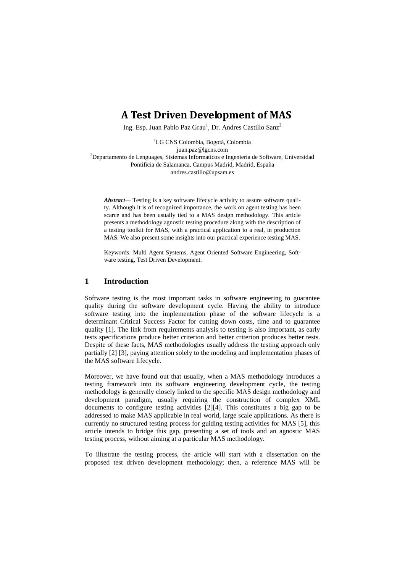# **A Test Driven Development of MAS**

Ing. Esp. Juan Pablo Paz Grau<sup>1</sup>, Dr. Andres Castillo Sanz<sup>2</sup>

<sup>1</sup>LG CNS Colombia, Bogotá, Colombia juan.paz@lgcns.com <sup>2</sup>Departamento de Lenguages, Sistemas Informaticos e Ingenieria de Software, Universidad Pontificia de Salamanca, Campus Madrid, Madrid, España andres.castillo@upsam.es

*Abstract—* Testing is a key software lifecycle activity to assure software quality. Although it is of recognized importance, the work on agent testing has been scarce and has been usually tied to a MAS design methodology. This article presents a methodology agnostic testing procedure along with the description of a testing toolkit for MAS, with a practical application to a real, in production MAS. We also present some insights into our practical experience testing MAS.

Keywords: Multi Agent Systems, Agent Oriented Software Engineering, Software testing, Test Driven Development.

### **1 Introduction**

Software testing is the most important tasks in software engineering to guarantee quality during the software development cycle. Having the ability to introduce software testing into the implementation phase of the software lifecycle is a determinant Critical Success Factor for cutting down costs, time and to guarantee quality [1]. The link from requirements analysis to testing is also important, as early tests specifications produce better criterion and better criterion produces better tests. Despite of these facts, MAS methodologies usually address the testing approach only partially [2] [3], paying attention solely to the modeling and implementation phases of the MAS software lifecycle.

Moreover, we have found out that usually, when a MAS methodology introduces a testing framework into its software engineering development cycle, the testing methodology is generally closely linked to the specific MAS design methodology and development paradigm, usually requiring the construction of complex XML documents to configure testing activities [2][4]. This constitutes a big gap to be addressed to make MAS applicable in real world, large scale applications. As there is currently no structured testing process for guiding testing activities for MAS [5], this article intends to bridge this gap, presenting a set of tools and an agnostic MAS testing process, without aiming at a particular MAS methodology.

To illustrate the testing process, the article will start with a dissertation on the proposed test driven development methodology; then, a reference MAS will be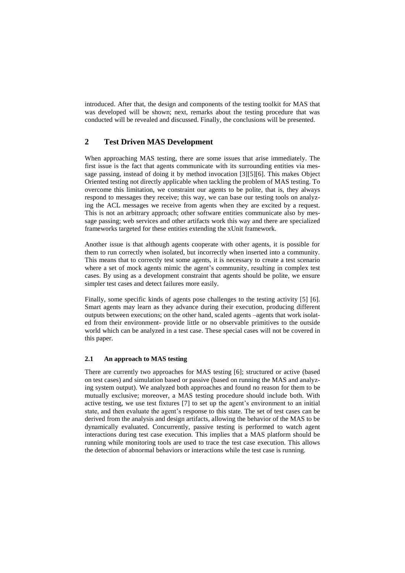introduced. After that, the design and components of the testing toolkit for MAS that was developed will be shown; next, remarks about the testing procedure that was conducted will be revealed and discussed. Finally, the conclusions will be presented.

# **2 Test Driven MAS Development**

When approaching MAS testing, there are some issues that arise immediately. The first issue is the fact that agents communicate with its surrounding entities via message passing, instead of doing it by method invocation [3][5][6]. This makes Object Oriented testing not directly applicable when tackling the problem of MAS testing. To overcome this limitation, we constraint our agents to be polite, that is, they always respond to messages they receive; this way, we can base our testing tools on analyzing the ACL messages we receive from agents when they are excited by a request. This is not an arbitrary approach; other software entities communicate also by message passing; web services and other artifacts work this way and there are specialized frameworks targeted for these entities extending the xUnit framework.

Another issue is that although agents cooperate with other agents, it is possible for them to run correctly when isolated, but incorrectly when inserted into a community. This means that to correctly test some agents, it is necessary to create a test scenario where a set of mock agents mimic the agent's community, resulting in complex test cases. By using as a development constraint that agents should be polite, we ensure simpler test cases and detect failures more easily.

Finally, some specific kinds of agents pose challenges to the testing activity [5] [6]. Smart agents may learn as they advance during their execution, producing different outputs between executions; on the other hand, scaled agents –agents that work isolated from their environment- provide little or no observable primitives to the outside world which can be analyzed in a test case. These special cases will not be covered in this paper.

### **2.1 An approach to MAS testing**

There are currently two approaches for MAS testing [6]; structured or active (based on test cases) and simulation based or passive (based on running the MAS and analyzing system output). We analyzed both approaches and found no reason for them to be mutually exclusive; moreover, a MAS testing procedure should include both. With active testing, we use test fixtures [7] to set up the agent's environment to an initial state, and then evaluate the agent's response to this state. The set of test cases can be derived from the analysis and design artifacts, allowing the behavior of the MAS to be dynamically evaluated. Concurrently, passive testing is performed to watch agent interactions during test case execution. This implies that a MAS platform should be running while monitoring tools are used to trace the test case execution. This allows the detection of abnormal behaviors or interactions while the test case is running.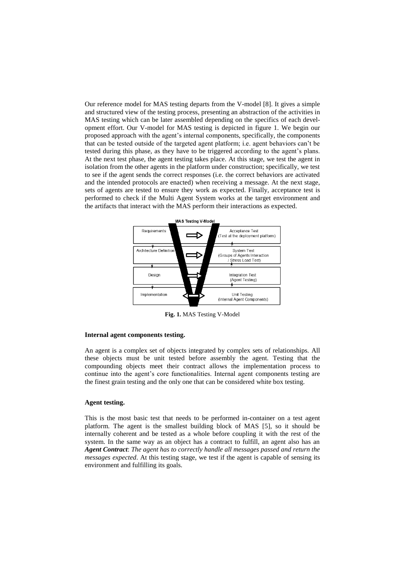Our reference model for MAS testing departs from the V-model [8]. It gives a simple and structured view of the testing process, presenting an abstraction of the activities in MAS testing which can be later assembled depending on the specifics of each development effort. Our V-model for MAS testing is depicted in figure 1. We begin our proposed approach with the agent's internal components, specifically, the components that can be tested outside of the targeted agent platform; i.e. agent behaviors can't be tested during this phase, as they have to be triggered according to the agent's plans. At the next test phase, the agent testing takes place. At this stage, we test the agent in isolation from the other agents in the platform under construction; specifically, we test to see if the agent sends the correct responses (i.e. the correct behaviors are activated and the intended protocols are enacted) when receiving a message. At the next stage, sets of agents are tested to ensure they work as expected. Finally, acceptance test is performed to check if the Multi Agent System works at the target environment and the artifacts that interact with the MAS perform their interactions as expected.



**Fig. 1.** MAS Testing V-Model

#### **Internal agent components testing.**

An agent is a complex set of objects integrated by complex sets of relationships. All these objects must be unit tested before assembly the agent. Testing that the compounding objects meet their contract allows the implementation process to continue into the agent's core functionalities. Internal agent components testing are the finest grain testing and the only one that can be considered white box testing.

#### **Agent testing.**

This is the most basic test that needs to be performed in-container on a test agent platform. The agent is the smallest building block of MAS [5], so it should be internally coherent and be tested as a whole before coupling it with the rest of the system. In the same way as an object has a contract to fulfill, an agent also has an *Agent Contract*: *The agent has to correctly handle all messages passed and return the messages expected*. At this testing stage, we test if the agent is capable of sensing its environment and fulfilling its goals.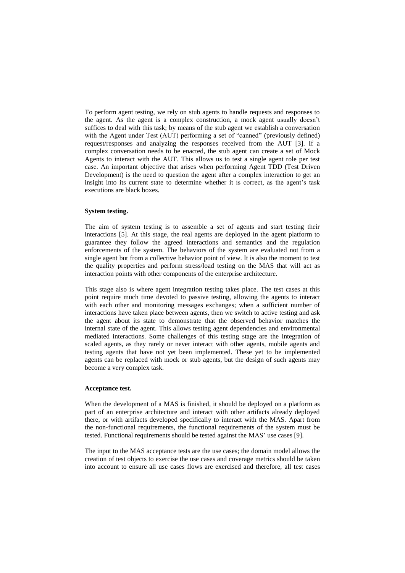To perform agent testing, we rely on stub agents to handle requests and responses to the agent. As the agent is a complex construction, a mock agent usually doesn't suffices to deal with this task; by means of the stub agent we establish a conversation with the Agent under Test (AUT) performing a set of "canned" (previously defined) request/responses and analyzing the responses received from the AUT [3]. If a complex conversation needs to be enacted, the stub agent can create a set of Mock Agents to interact with the AUT. This allows us to test a single agent role per test case. An important objective that arises when performing Agent TDD (Test Driven Development) is the need to question the agent after a complex interaction to get an insight into its current state to determine whether it is correct, as the agent's task executions are black boxes.

#### **System testing.**

The aim of system testing is to assemble a set of agents and start testing their interactions [5]. At this stage, the real agents are deployed in the agent platform to guarantee they follow the agreed interactions and semantics and the regulation enforcements of the system. The behaviors of the system are evaluated not from a single agent but from a collective behavior point of view. It is also the moment to test the quality properties and perform stress/load testing on the MAS that will act as interaction points with other components of the enterprise architecture.

This stage also is where agent integration testing takes place. The test cases at this point require much time devoted to passive testing, allowing the agents to interact with each other and monitoring messages exchanges; when a sufficient number of interactions have taken place between agents, then we switch to active testing and ask the agent about its state to demonstrate that the observed behavior matches the internal state of the agent. This allows testing agent dependencies and environmental mediated interactions. Some challenges of this testing stage are the integration of scaled agents, as they rarely or never interact with other agents, mobile agents and testing agents that have not yet been implemented. These yet to be implemented agents can be replaced with mock or stub agents, but the design of such agents may become a very complex task.

#### **Acceptance test.**

When the development of a MAS is finished, it should be deployed on a platform as part of an enterprise architecture and interact with other artifacts already deployed there, or with artifacts developed specifically to interact with the MAS. Apart from the non-functional requirements, the functional requirements of the system must be tested. Functional requirements should be tested against the MAS' use cases [9].

The input to the MAS acceptance tests are the use cases; the domain model allows the creation of test objects to exercise the use cases and coverage metrics should be taken into account to ensure all use cases flows are exercised and therefore, all test cases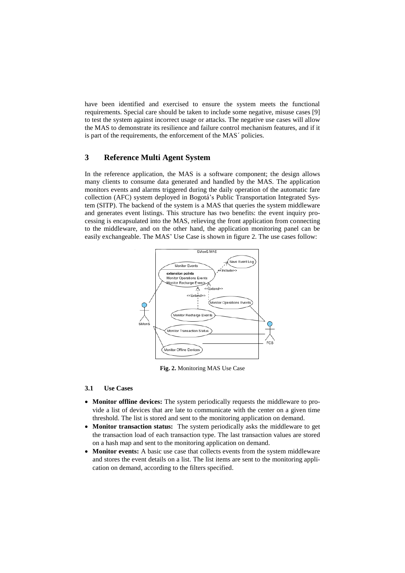have been identified and exercised to ensure the system meets the functional requirements. Special care should be taken to include some negative, misuse cases [9] to test the system against incorrect usage or attacks. The negative use cases will allow the MAS to demonstrate its resilience and failure control mechanism features, and if it is part of the requirements, the enforcement of the MAS´ policies.

# **3 Reference Multi Agent System**

In the reference application, the MAS is a software component; the design allows many clients to consume data generated and handled by the MAS. The application monitors events and alarms triggered during the daily operation of the automatic fare collection (AFC) system deployed in Bogotá's Public Transportation Integrated System (SITP). The backend of the system is a MAS that queries the system middleware and generates event listings. This structure has two benefits: the event inquiry processing is encapsulated into the MAS, relieving the front application from connecting to the middleware, and on the other hand, the application monitoring panel can be easily exchangeable. The MAS' Use Case is shown in figure 2. The use cases follow:



**Fig. 2.** Monitoring MAS Use Case

#### **3.1 Use Cases**

- **Monitor offline devices:** The system periodically requests the middleware to provide a list of devices that are late to communicate with the center on a given time threshold. The list is stored and sent to the monitoring application on demand.
- **Monitor transaction status:** The system periodically asks the middleware to get the transaction load of each transaction type. The last transaction values are stored on a hash map and sent to the monitoring application on demand.
- Monitor events: A basic use case that collects events from the system middleware and stores the event details on a list. The list items are sent to the monitoring application on demand, according to the filters specified.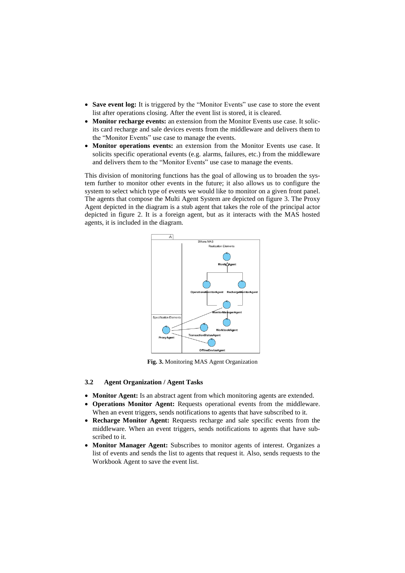- Save event log: It is triggered by the "Monitor Events" use case to store the event list after operations closing. After the event list is stored, it is cleared.
- **Monitor recharge events:** an extension from the Monitor Events use case. It solicits card recharge and sale devices events from the middleware and delivers them to the "Monitor Events" use case to manage the events.
- **Monitor operations events:** an extension from the Monitor Events use case. It solicits specific operational events (e.g. alarms, failures, etc.) from the middleware and delivers them to the "Monitor Events" use case to manage the events.

This division of monitoring functions has the goal of allowing us to broaden the system further to monitor other events in the future; it also allows us to configure the system to select which type of events we would like to monitor on a given front panel. The agents that compose the Multi Agent System are depicted on figure 3. The Proxy Agent depicted in the diagram is a stub agent that takes the role of the principal actor depicted in figure 2. It is a foreign agent, but as it interacts with the MAS hosted agents, it is included in the diagram.



**Fig. 3.** Monitoring MAS Agent Organization

#### **3.2 Agent Organization / Agent Tasks**

- **Monitor Agent:** Is an abstract agent from which monitoring agents are extended.
- **Operations Monitor Agent:** Requests operational events from the middleware. When an event triggers, sends notifications to agents that have subscribed to it.
- **Recharge Monitor Agent:** Requests recharge and sale specific events from the middleware. When an event triggers, sends notifications to agents that have subscribed to it.
- **Monitor Manager Agent:** Subscribes to monitor agents of interest. Organizes a list of events and sends the list to agents that request it. Also, sends requests to the Workbook Agent to save the event list.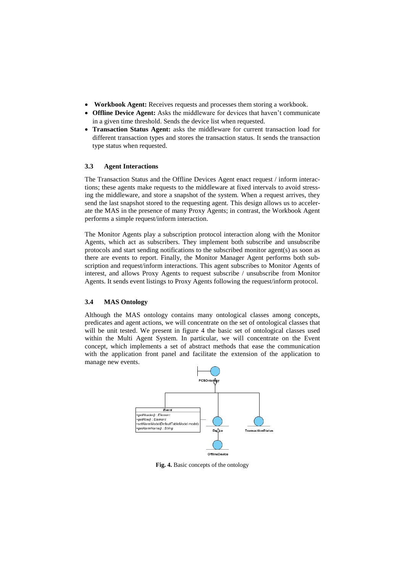- **Workbook Agent:** Receives requests and processes them storing a workbook.
- **Offline Device Agent:** Asks the middleware for devices that haven't communicate in a given time threshold. Sends the device list when requested.
- **Transaction Status Agent:** asks the middleware for current transaction load for different transaction types and stores the transaction status. It sends the transaction type status when requested.

#### **3.3 Agent Interactions**

The Transaction Status and the Offline Devices Agent enact request / inform interactions; these agents make requests to the middleware at fixed intervals to avoid stressing the middleware, and store a snapshot of the system. When a request arrives, they send the last snapshot stored to the requesting agent. This design allows us to accelerate the MAS in the presence of many Proxy Agents; in contrast, the Workbook Agent performs a simple request/inform interaction.

The Monitor Agents play a subscription protocol interaction along with the Monitor Agents, which act as subscribers. They implement both subscribe and unsubscribe protocols and start sending notifications to the subscribed monitor agent(s) as soon as there are events to report. Finally, the Monitor Manager Agent performs both subscription and request/inform interactions. This agent subscribes to Monitor Agents of interest, and allows Proxy Agents to request subscribe / unsubscribe from Monitor Agents. It sends event listings to Proxy Agents following the request/inform protocol.

### **3.4 MAS Ontology**

Although the MAS ontology contains many ontological classes among concepts, predicates and agent actions, we will concentrate on the set of ontological classes that will be unit tested. We present in figure 4 the basic set of ontological classes used within the Multi Agent System. In particular, we will concentrate on the Event concept, which implements a set of abstract methods that ease the communication with the application front panel and facilitate the extension of the application to manage new events.



**Fig. 4.** Basic concepts of the ontology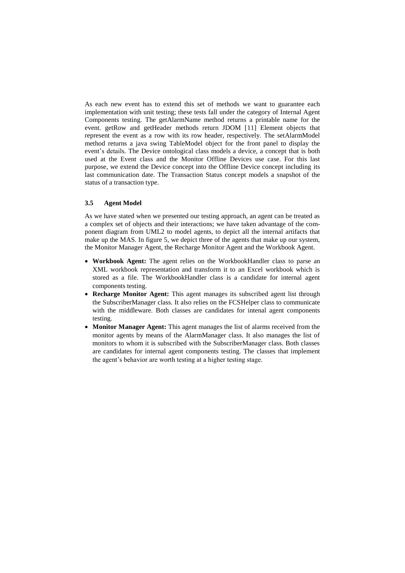As each new event has to extend this set of methods we want to guarantee each implementation with unit testing; these tests fall under the category of Internal Agent Components testing. The getAlarmName method returns a printable name for the event. getRow and getHeader methods return JDOM [11] Element objects that represent the event as a row with its row header, respectively. The setAlarmModel method returns a java swing TableModel object for the front panel to display the event's details. The Device ontological class models a device, a concept that is both used at the Event class and the Monitor Offline Devices use case. For this last purpose, we extend the Device concept into the Offline Device concept including its last communication date. The Transaction Status concept models a snapshot of the status of a transaction type.

#### **3.5 Agent Model**

As we have stated when we presented our testing approach, an agent can be treated as a complex set of objects and their interactions; we have taken advantage of the component diagram from UML2 to model agents, to depict all the internal artifacts that make up the MAS. In figure 5, we depict three of the agents that make up our system, the Monitor Manager Agent, the Recharge Monitor Agent and the Workbook Agent.

- **Workbook Agent:** The agent relies on the WorkbookHandler class to parse an XML workbook representation and transform it to an Excel workbook which is stored as a file. The WorkbookHandler class is a candidate for internal agent components testing.
- **Recharge Monitor Agent:** This agent manages its subscribed agent list through the SubscriberManager class. It also relies on the FCSHelper class to communicate with the middleware. Both classes are candidates for intenal agent components testing.
- **Monitor Manager Agent:** This agent manages the list of alarms received from the monitor agents by means of the AlarmManager class. It also manages the list of monitors to whom it is subscribed with the SubscriberManager class. Both classes are candidates for internal agent components testing. The classes that implement the agent's behavior are worth testing at a higher testing stage.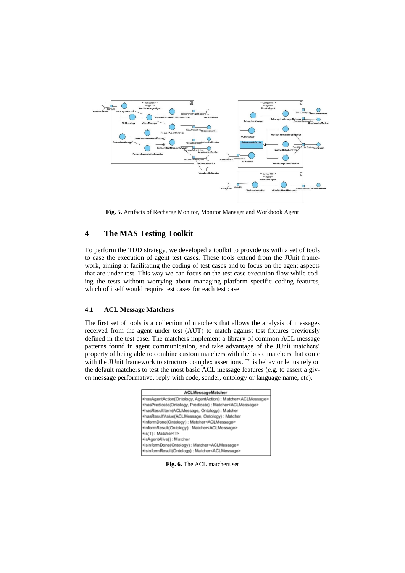

**Fig. 5.** Artifacts of Recharge Monitor, Monitor Manager and Workbook Agent

# **4 The MAS Testing Toolkit**

To perform the TDD strategy, we developed a toolkit to provide us with a set of tools to ease the execution of agent test cases. These tools extend from the JUnit framework, aiming at facilitating the coding of test cases and to focus on the agent aspects that are under test. This way we can focus on the test case execution flow while coding the tests without worrying about managing platform specific coding features, which of itself would require test cases for each test case.

### **4.1 ACL Message Matchers**

The first set of tools is a collection of matchers that allows the analysis of messages received from the agent under test (AUT) to match against test fixtures previously defined in the test case. The matchers implement a library of common ACL message patterns found in agent communication, and take advantage of the JUnit matchers' property of being able to combine custom matchers with the basic matchers that come with the JUnit framework to structure complex assertions. This behavior let us rely on the default matchers to test the most basic ACL message features (e.g. to assert a given message performative, reply with code, sender, ontology or language name, etc).

| ACLMessageMatcher                                                         |  |  |  |
|---------------------------------------------------------------------------|--|--|--|
| +hasAgentAction(Ontology, AgentAction): Matcher <aclmessage></aclmessage> |  |  |  |
| +hasPredicate(Ontology, Predicate): Matcher <aclmessage></aclmessage>     |  |  |  |
| +hasResultItem(ACLMessage, Ontology): Matcher                             |  |  |  |
| +hasResultValue(ACLMessage, Ontology) : Matcher                           |  |  |  |
| +informDone(Ontology): Matcher <aclmessage></aclmessage>                  |  |  |  |
| +informResult(Ontology): Matcher <aclmessage></aclmessage>                |  |  |  |
| +is(T): Matcher <t></t>                                                   |  |  |  |
| +isAgentAlive(): Matcher                                                  |  |  |  |
| +isInformDone(Ontology): Matcher <aclmessage></aclmessage>                |  |  |  |
| +isInformResult(Ontology): Matcher <aclmessage></aclmessage>              |  |  |  |

**Fig. 6.** The ACL matchers set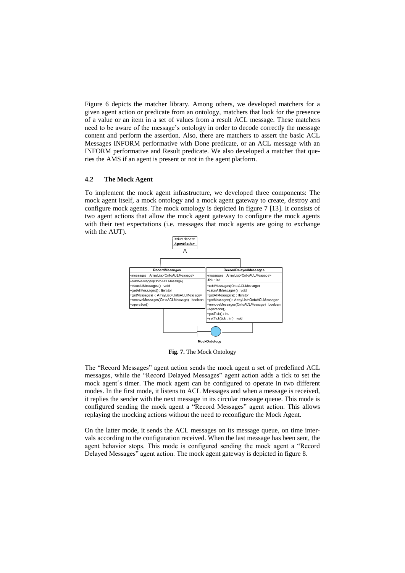Figure 6 depicts the matcher library. Among others, we developed matchers for a given agent action or predicate from an ontology, matchers that look for the presence of a value or an item in a set of values from a result ACL message. These matchers need to be aware of the message's ontology in order to decode correctly the message content and perform the assertion. Also, there are matchers to assert the basic ACL Messages INFORM performative with Done predicate, or an ACL message with an INFORM performative and Result predicate. We also developed a matcher that queries the AMS if an agent is present or not in the agent platform.

#### **4.2 The Mock Agent**

To implement the mock agent infrastructure, we developed three components: The mock agent itself, a mock ontology and a mock agent gateway to create, destroy and configure mock agents. The mock ontology is depicted in figure 7 [13]. It consists of two agent actions that allow the mock agent gateway to configure the mock agents with their test expectations (i.e. messages that mock agents are going to exchange with the AUT).



**Fig. 7.** The Mock Ontology

The "Record Messages" agent action sends the mock agent a set of predefined ACL messages, while the "Record Delayed Messages" agent action adds a tick to set the mock agent´s timer. The mock agent can be configured to operate in two different modes. In the first mode, it listens to ACL Messages and when a message is received, it replies the sender with the next message in its circular message queue. This mode is configured sending the mock agent a "Record Messages" agent action. This allows replaying the mocking actions without the need to reconfigure the Mock Agent.

On the latter mode, it sends the ACL messages on its message queue, on time intervals according to the configuration received. When the last message has been sent, the agent behavior stops. This mode is configured sending the mock agent a "Record Delayed Messages" agent action. The mock agent gateway is depicted in figure 8.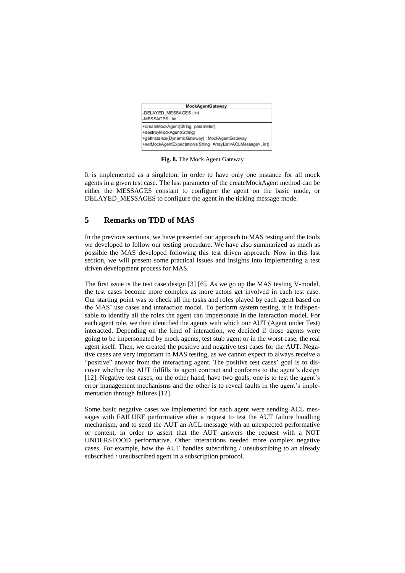

**Fig. 8.** The Mock Agent Gateway

It is implemented as a singleton, in order to have only one instance for all mock agents in a given test case. The last parameter of the createMockAgent method can be either the MESSAGES constant to configure the agent on the basic mode, or DELAYED MESSAGES to configure the agent in the ticking message mode.

# **5 Remarks on TDD of MAS**

In the previous sections, we have presented our approach to MAS testing and the tools we developed to follow our testing procedure. We have also summarized as much as possible the MAS developed following this test driven approach. Now in this last section, we will present some practical issues and insights into implementing a test driven development process for MAS.

The first issue is the test case design [3] [6]. As we go up the MAS testing V-model, the test cases become more complex as more actors get involved in each test case. Our starting point was to check all the tasks and roles played by each agent based on the MAS' use cases and interaction model. To perform system testing, it is indispensable to identify all the roles the agent can impersonate in the interaction model. For each agent role, we then identified the agents with which our AUT (Agent under Test) interacted. Depending on the kind of interaction, we decided if those agents were going to be impersonated by mock agents, test stub agent or in the worst case, the real agent itself. Then, we created the positive and negative test cases for the AUT. Negative cases are very important in MAS testing, as we cannot expect to always receive a "positive" answer from the interacting agent. The positive test cases' goal is to discover whether the AUT fulfills its agent contract and conforms to the agent's design [12]. Negative test cases, on the other hand, have two goals; one is to test the agent's error management mechanisms and the other is to reveal faults in the agent's implementation through failures [12].

Some basic negative cases we implemented for each agent were sending ACL messages with FAILURE performative after a request to test the AUT failure handling mechanism, and to send the AUT an ACL message with an unexpected performative or content, in order to assert that the AUT answers the request with a NOT UNDERSTOOD performative. Other interactions needed more complex negative cases. For example, how the AUT handles subscribing / unsubscribing to an already subscribed / unsubscribed agent in a subscription protocol.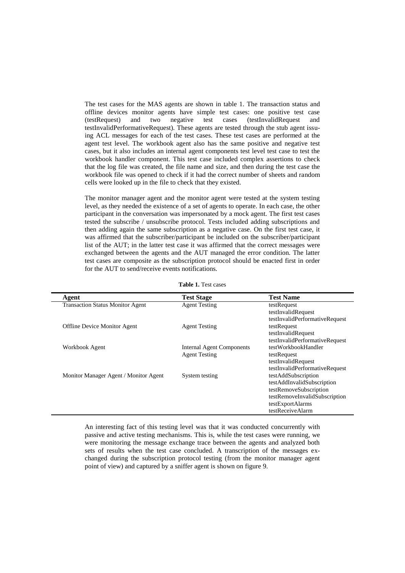The test cases for the MAS agents are shown in table 1. The transaction status and offline devices monitor agents have simple test cases: one positive test case (testRequest) and two negative test cases (testInvalidRequest and testInvalidPerformativeRequest). These agents are tested through the stub agent issuing ACL messages for each of the test cases. These test cases are performed at the agent test level. The workbook agent also has the same positive and negative test cases, but it also includes an internal agent components test level test case to test the workbook handler component. This test case included complex assertions to check that the log file was created, the file name and size, and then during the test case the workbook file was opened to check if it had the correct number of sheets and random cells were looked up in the file to check that they existed.

The monitor manager agent and the monitor agent were tested at the system testing level, as they needed the existence of a set of agents to operate. In each case, the other participant in the conversation was impersonated by a mock agent. The first test cases tested the subscribe / unsubscribe protocol. Tests included adding subscriptions and then adding again the same subscription as a negative case. On the first test case, it was affirmed that the subscriber/participant be included on the subscriber/participant list of the AUT; in the latter test case it was affirmed that the correct messages were exchanged between the agents and the AUT managed the error condition. The latter test cases are composite as the subscription protocol should be enacted first in order for the AUT to send/receive events notifications.

| Agent                                   | <b>Test Stage</b>                | <b>Test Name</b>               |
|-----------------------------------------|----------------------------------|--------------------------------|
| <b>Transaction Status Monitor Agent</b> | <b>Agent Testing</b>             | testRequest                    |
|                                         |                                  | testInvalidRequest             |
|                                         |                                  | testInvalidPerformativeRequest |
| <b>Offline Device Monitor Agent</b>     | <b>Agent Testing</b>             | testRequest                    |
|                                         |                                  | testInvalidRequest             |
|                                         |                                  | testInvalidPerformativeRequest |
| Workbook Agent                          | <b>Internal Agent Components</b> | testWorkbookHandler            |
|                                         | <b>Agent Testing</b>             | testRequest                    |
|                                         |                                  | testInvalidRequest             |
|                                         |                                  | testInvalidPerformativeRequest |
| Monitor Manager Agent / Monitor Agent   | System testing                   | testAddSubscription            |
|                                         |                                  | testAddInvalidSubscription     |
|                                         |                                  | testRemoveSubscription         |
|                                         |                                  | testRemoveInvalidSubscription  |
|                                         |                                  | testExportAlarms               |
|                                         |                                  | testReceiveAlarm               |

**Table 1.** Test cases

An interesting fact of this testing level was that it was conducted concurrently with passive and active testing mechanisms. This is, while the test cases were running, we were monitoring the message exchange trace between the agents and analyzed both sets of results when the test case concluded. A transcription of the messages exchanged during the subscription protocol testing (from the monitor manager agent point of view) and captured by a sniffer agent is shown on figure 9.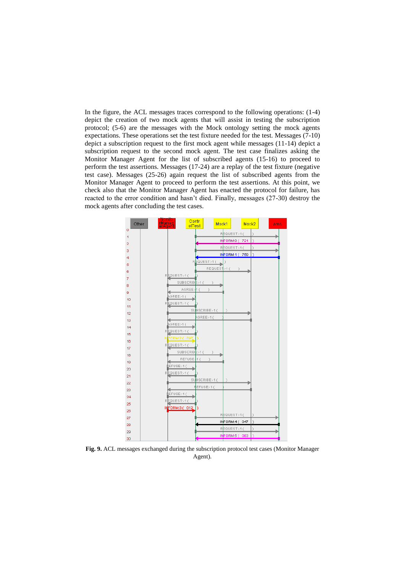In the figure, the ACL messages traces correspond to the following operations: (1-4) depict the creation of two mock agents that will assist in testing the subscription protocol; (5-6) are the messages with the Mock ontology setting the mock agents expectations. These operations set the test fixture needed for the test. Messages (7-10) depict a subscription request to the first mock agent while messages (11-14) depict a subscription request to the second mock agent. The test case finalizes asking the Monitor Manager Agent for the list of subscribed agents (15-16) to proceed to perform the test assertions. Messages (17-24) are a replay of the test fixture (negative test case). Messages (25-26) again request the list of subscribed agents from the Monitor Manager Agent to proceed to perform the test assertions. At this point, we check also that the Monitor Manager Agent has enacted the protocol for failure, has reacted to the error condition and hasn't died. Finally, messages (27-30) destroy the mock agents after concluding the test cases.



**Fig. 9.** ACL messages exchanged during the subscription protocol test cases (Monitor Manager Agent).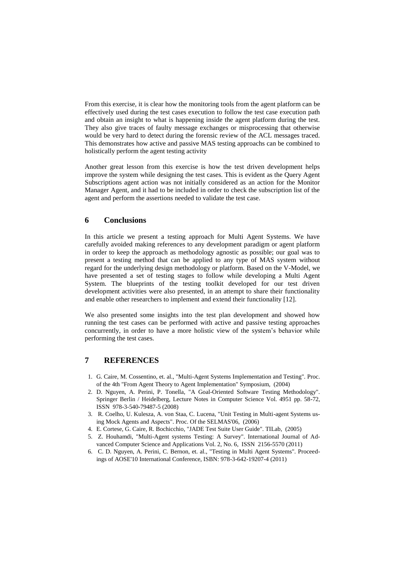From this exercise, it is clear how the monitoring tools from the agent platform can be effectively used during the test cases execution to follow the test case execution path and obtain an insight to what is happening inside the agent platform during the test. They also give traces of faulty message exchanges or misprocessing that otherwise would be very hard to detect during the forensic review of the ACL messages traced. This demonstrates how active and passive MAS testing approachs can be combined to holistically perform the agent testing activity

Another great lesson from this exercise is how the test driven development helps improve the system while designing the test cases. This is evident as the Query Agent Subscriptions agent action was not initially considered as an action for the Monitor Manager Agent, and it had to be included in order to check the subscription list of the agent and perform the assertions needed to validate the test case.

# **6 Conclusions**

In this article we present a testing approach for Multi Agent Systems. We have carefully avoided making references to any development paradigm or agent platform in order to keep the approach as methodology agnostic as possible; our goal was to present a testing method that can be applied to any type of MAS system without regard for the underlying design methodology or platform. Based on the V-Model, we have presented a set of testing stages to follow while developing a Multi Agent System. The blueprints of the testing toolkit developed for our test driven development activities were also presented, in an attempt to share their functionality and enable other researchers to implement and extend their functionality [12].

We also presented some insights into the test plan development and showed how running the test cases can be performed with active and passive testing approaches concurrently, in order to have a more holistic view of the system's behavior while performing the test cases.

### **7 REFERENCES**

- 1. G. Caire, M. Cossentino, et. al., "Multi-Agent Systems Implementation and Testing". Proc. of the 4th "From Agent Theory to Agent Implementation" Symposium, (2004)
- 2. D. Nguyen, A. Perini, P. Tonella, "A Goal-Oriented Software Testing Methodology". Springer Berlin / Heidelberg, Lecture Notes in Computer Science Vol. 4951 pp. 58-72, ISSN 978-3-540-79487-5 (2008)
- 3. R. Coelho, U. Kulesza, A. von Staa, C. Lucena, "Unit Testing in Multi-agent Systems using Mock Agents and Aspects". Proc. Of the SELMAS'06, (2006)
- 4. E. Cortese, G. Caire, R. Bochicchio, "JADE Test Suite User Guide". TILab, (2005)
- 5. Z. Houhamdi, "Multi-Agent systems Testing: A Survey". International Journal of Advanced Computer Science and Applications Vol. 2, No. 6, ISSN 2156-5570 (2011)
- 6. C. D. Nguyen, A. Perini, C. Bernon, et. al., "Testing in Multi Agent Systems". Proceedings of AOSE'10 International Conference, ISBN: 978-3-642-19207-4 (2011)